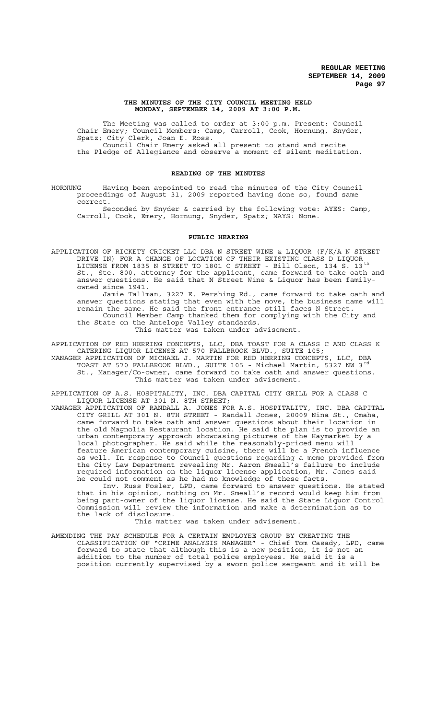### **THE MINUTES OF THE CITY COUNCIL MEETING HELD MONDAY, SEPTEMBER 14, 2009 AT 3:00 P.M.**

The Meeting was called to order at 3:00 p.m. Present: Council Chair Emery; Council Members: Camp, Carroll, Cook, Hornung, Snyder, Spatz; City Clerk, Joan E. Ross. Council Chair Emery asked all present to stand and recite the Pledge of Allegiance and observe a moment of silent meditation.

## **READING OF THE MINUTES**

HORNUNG Having been appointed to read the minutes of the City Council proceedings of August 31, 2009 reported having done so, found same correct.

Seconded by Snyder & carried by the following vote: AYES: Camp, Carroll, Cook, Emery, Hornung, Snyder, Spatz; NAYS: None.

## **PUBLIC HEARING**

APPLICATION OF RICKETY CRICKET LLC DBA N STREET WINE & LIQUOR (F/K/A N STREET DRIVE IN) FOR A CHANGE OF LOCATION OF THEIR EXISTING CLASS D LIQUOR LICENSE FROM 1835 N STREET TO 1801 O STREET - Bill Olson, 134 S. 13 th St., Ste. 800, attorney for the applicant, came forward to take oath and answer questions. He said that N Street Wine & Liquor has been familyowned since 1941.

Jamie Tallman, 3227 E. Pershing Rd., came forward to take oath and answer questions stating that even with the move, the business name will remain the same. He said the front entrance still faces N Street. Council Member Camp thanked them for complying with the City and the State on the Antelope Valley standards.

This matter was taken under advisement.

APPLICATION OF RED HERRING CONCEPTS, LLC, DBA TOAST FOR A CLASS C AND CLASS K CATERING LIQUOR LICENSE AT 570 FALLBROOK BLVD., SUITE 105; MANAGER APPLICATION OF MICHAEL J. MARTIN FOR RED HERRING CONCEPTS, LLC, DBA

TOAST AT 570 FALLBROOK BLVD., SUITE 105 - Michael Martin, 5327 NW 3 rd St., Manager/Co-owner, came forward to take oath and answer questions. This matter was taken under advisement.

APPLICATION OF A.S. HOSPITALITY, INC. DBA CAPITAL CITY GRILL FOR A CLASS C LIQUOR LICENSE AT 301 N. 8TH STREET;

MANAGER APPLICATION OF RANDALL A. JONES FOR A.S. HOSPITALITY, INC. DBA CAPITAL CITY GRILL AT 301 N. 8TH STREET - Randall Jones, 20009 Nina St., Omaha, came forward to take oath and answer questions about their location in the old Magnolia Restaurant location. He said the plan is to provide an urban contemporary approach showcasing pictures of the Haymarket by a local photographer. He said while the reasonably-priced menu will feature American contemporary cuisine, there will be a French influence as well. In response to Council questions regarding a memo provided from the City Law Department revealing Mr. Aaron Smeall's failure to include required information on the liquor license application, Mr. Jones said he could not comment as he had no knowledge of these facts.

Inv. Russ Fosler, LPD, came forward to answer questions. He stated that in his opinion, nothing on Mr. Smeall's record would keep him from being part-owner of the liquor license. He said the State Liquor Control Commission will review the information and make a determination as to the lack of disclosure.

This matter was taken under advisement.

AMENDING THE PAY SCHEDULE FOR A CERTAIN EMPLOYEE GROUP BY CREATING THE CLASSIFICATION OF "CRIME ANALYSIS MANAGER" - Chief Tom Casady, LPD, came forward to state that although this is a new position, it is not an addition to the number of total police employees. He said it is a position currently supervised by a sworn police sergeant and it will be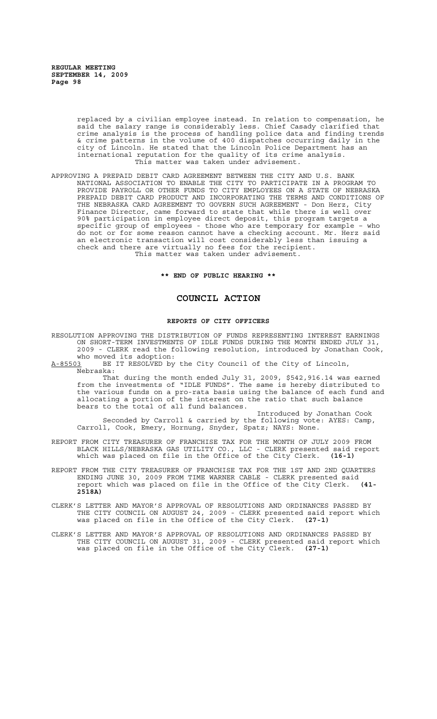> replaced by a civilian employee instead. In relation to compensation, he said the salary range is considerably less. Chief Casady clarified that crime analysis is the process of handling police data and finding trends & crime patterns in the volume of 400 dispatches occurring daily in the city of Lincoln. He stated that the Lincoln Police Department has an international reputation for the quality of its crime analysis. This matter was taken under advisement.

APPROVING A PREPAID DEBIT CARD AGREEMENT BETWEEN THE CITY AND U.S. BANK NATIONAL ASSOCIATION TO ENABLE THE CITY TO PARTICIPATE IN A PROGRAM TO PROVIDE PAYROLL OR OTHER FUNDS TO CITY EMPLOYEES ON A STATE OF NEBRASKA PREPAID DEBIT CARD PRODUCT AND INCORPORATING THE TERMS AND CONDITIONS OF THE NEBRASKA CARD AGREEMENT TO GOVERN SUCH AGREEMENT - Don Herz, City Finance Director, came forward to state that while there is well over 90% participation in employee direct deposit, this program targets a specific group of employees - those who are temporary for example – who do not or for some reason cannot have a checking account. Mr. Herz said an electronic transaction will cost considerably less than issuing a check and there are virtually no fees for the recipient. This matter was taken under advisement.

**\*\* END OF PUBLIC HEARING \*\***

## **COUNCIL ACTION**

#### **REPORTS OF CITY OFFICERS**

RESOLUTION APPROVING THE DISTRIBUTION OF FUNDS REPRESENTING INTEREST EARNINGS ON SHORT-TERM INVESTMENTS OF IDLE FUNDS DURING THE MONTH ENDED JULY 31, 2009 - CLERK read the following resolution, introduced by Jonathan Cook, who moved its adoption:<br>A-85503 BE IT RESOLVED by

BE IT RESOLVED by the City Council of the City of Lincoln, Nebraska:

That during the month ended July 31, 2009, \$542,916.14 was earned from the investments of "IDLE FUNDS". The same is hereby distributed to the various funds on a pro-rata basis using the balance of each fund and allocating a portion of the interest on the ratio that such balance bears to the total of all fund balances.

Introduced by Jonathan Cook Seconded by Carroll & carried by the following vote: AYES: Camp, Carroll, Cook, Emery, Hornung, Snyder, Spatz; NAYS: None.

- REPORT FROM CITY TREASURER OF FRANCHISE TAX FOR THE MONTH OF JULY 2009 FROM BLACK HILLS/NEBRASKA GAS UTILITY CO., LLC - CLERK presented said report which was placed on file in the Office of the City Clerk. **(16-1)**
- REPORT FROM THE CITY TREASURER OF FRANCHISE TAX FOR THE 1ST AND 2ND QUARTERS ENDING JUNE 30, 2009 FROM TIME WARNER CABLE - CLERK presented said report which was placed on file in the Office of the City Clerk. **(41- 2518A)**
- CLERK'S LETTER AND MAYOR'S APPROVAL OF RESOLUTIONS AND ORDINANCES PASSED BY THE CITY COUNCIL ON AUGUST 24, 2009 - CLERK presented said report which was placed on file in the Office of the City Clerk. **(27-1)**
- CLERK'S LETTER AND MAYOR'S APPROVAL OF RESOLUTIONS AND ORDINANCES PASSED BY THE CITY COUNCIL ON AUGUST 31, 2009 - CLERK presented said report which was placed on file in the Office of the City Clerk. **(27-1)**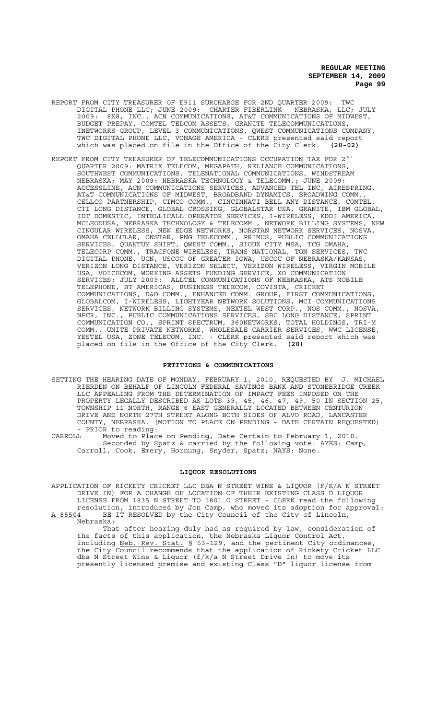- REPORT FROM CITY TREASURER OF E911 SURCHARGE FOR 2ND QUARTER 2009: TWC DIGITAL PHONE LLC; JUNE 2009: CHARTER FIBERLINK - NEBRASKA, LLC; JULY 2009: 8X8, INC., ACN COMMUNICATIONS, AT&T COMMUNICATIONS OF MIDWEST, BUDGET PREPAY, COMTEL TELCOM ASSETS, GRANITE TELECOMMUNICATIONS, INETWORKS GROUP, LEVEL 3 COMMUNICATIONS, QWEST COMMUNICATIONS COMPANY, TWC DIGITAL PHONE LLC, VONAGE AMERICA - CLERK presented said report which was placed on file in the Office of the City Clerk. **(20-02)**
- REPORT FROM CITY TREASURER OF TELECOMMUNICATIONS OCCUPATION TAX FOR 2  $^{\text{ND}}$ QUARTER 2009: MATRIX TELECOM, MEGAPATH, RELIANCE COMMUNICATIONS, SOUTHWEST COMMUNICATIONS, TELENATIONAL COMMUNICATIONS, WINDSTREAM NEBRASKA; MAY 2009: NEBRASKA TECHNOLOGY & TELECOMM.; JUNE 2009: ACCESSLINE, ACN COMMUNICATIONS SERVICES, ADVANCED TEL INC, AIRESPRING, AT&T COMMUNICATIONS OF MIDWEST, BROADBAND DYNAMICS, BROADWING COMM., CELLCO PARTNERSHIP, CIMCO COMM., CINCINNATI BELL ANY DISTANCE, COMTEL, CTI LONG DISTANCE, GLOBAL CROSSING, GLOBALSTAR USA, GRANITE, IBM GLOBAL, IDT DOMESTIC, INTELLICALL OPERATOR SERVICES, I-WIRELESS, KDDI AMERICA, MCLEODUSA, NEBRASKA TECHNOLOGY & TELECOMM., NETWORK BILLING SYSTEMS, NEW CINGULAR WIRELESS, NEW EDGE NETWORKS, NORSTAN NETWORK SERVICES, NOSVA, OMAHA CELLULAR, ONSTAR, PNG TELECOMM., PRIMUS, PUBLIC COMMUNICATIONS SERVICES, QUANTUM SHIFT, QWEST COMM., SIOUX CITY MSA, TCG OMAHA, TELECORP COMM., TRACFONE WIRELESS, TRANS NATIONAL, TON SERVICES, TWC DIGITAL PHONE, UCN, USCOC OF GREATER IOWA, USCOC OF NEBRASKA/KANSAS, VERIZON LONG DISTANCE, VERIZON SELECT, VERIZON WIRELESS, VIRGIN MOBILE USA, VOICECOM, WORKING ASSETS FUNDING SERVICE, XO COMMUNICATION SERVICES; JULY 2009: ALLTEL COMMUNICATIONS OF NEBRASKA, ATS MOBILE TELEPHONE, BT AMERICAS, BUSINESS TELECOM, COVISTA, CRICKET COMMUNICATIONS, D&D COMM., ENHANCED COMM. GROUP, FIRST COMMUNICATIONS, GLOBALCOM, I-WIRELESS, LIGHTYEAR NETWORK SOLUTIONS, MCI COMMUNICATIONS SERVICES, NETWORK BILLING SYSTEMS, NEXTEL WEST CORP., NOS COMM., NOSVA, NPCR, INC., PUBLIC COMMUNICATIONS SERVICES, SBC LONG DISTANCE, SPRINT COMMUNICATION CO., SPRINT SPECTRUM, 360NETWORKS, TOTAL HOLDINGS, TRI-M COMM., UNITE PRIVATE NETWORKS, WHOLESALE CARRIER SERVICES, WWC LICENSE, YESTEL USA, ZONE TELECOM, INC. - CLERK presented said report which was placed on file in the Office of the City Clerk. **(20)**

### **PETITIONS & COMMUNICATIONS**

- SETTING THE HEARING DATE OF MONDAY, FEBRUARY 1, 2010, REQUESTED BY J. MICHAEL RIERDEN ON BEHALF OF LINCOLN FEDERAL SAVINGS BANK AND STONEBRIDGE CREEK LLC APPEALING FROM THE DETERMINATION OF IMPACT FEES IMPOSED ON THE PROPERTY LEGALLY DESCRIBED AS LOTS 39, 45, 46, 47, 49, 50 IN SECTION 25, TOWNSHIP 11 NORTH, RANGE 6 EAST GENERALLY LOCATED BETWEEN CENTURION DRIVE AND NORTH 27TH STREET ALONG BOTH SIDES OF ALVO ROAD, LANCASTER COUNTY, NEBRASKA. (MOTION TO PLACE ON PENDING - DATE CERTAIN REQUESTED) - PRIOR to reading:
- CARROLL Moved to Place on Pending, Date Certain to February 1, 2010. Seconded by Spatz & carried by the following vote: AYES: Camp, Carroll, Cook, Emery, Hornung, Snyder, Spatz; NAYS: None.

### **LIQUOR RESOLUTIONS**

APPLICATION OF RICKETY CRICKET LLC DBA N STREET WINE & LIQUOR (F/K/A N STREET DRIVE IN) FOR A CHANGE OF LOCATION OF THEIR EXISTING CLASS D LIQUOR LICENSE FROM 1835 N STREET TO 1801 O STREET - CLERK read the following resolution, introduced by Jon Camp, who moved its adoption for approval: A-85504 BE IT RESOLVED by the City Council of the City of Lincoln,

Nebraska: That after hearing duly had as required by law, consideration of the facts of this application, the Nebraska Liquor Control Act, including Neb. Rev. Stat. § 53-129, and the pertinent City ordinances, the City Council recommends that the application of Rickety Cricket LLC dba N Street Wine & Liquor (f/k/a N Street Drive In) to move its presently licensed premise and existing Class "D" liquor license from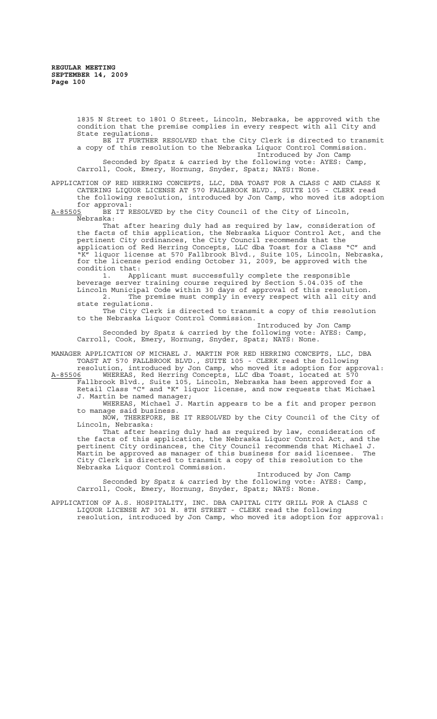1835 N Street to 1801 O Street, Lincoln, Nebraska, be approved with the condition that the premise complies in every respect with all City and State regulations.

BE IT FURTHER RESOLVED that the City Clerk is directed to transmit a copy of this resolution to the Nebraska Liquor Control Commission. Introduced by Jon Camp Seconded by Spatz & carried by the following vote: AYES: Camp, Carroll, Cook, Emery, Hornung, Snyder, Spatz; NAYS: None.

APPLICATION OF RED HERRING CONCEPTS, LLC, DBA TOAST FOR A CLASS C AND CLASS K CATERING LIQUOR LICENSE AT 570 FALLBROOK BLVD., SUITE 105 - CLERK read

the following resolution, introduced by Jon Camp, who moved its adoption for approval:<br>A-85505 BE IT R

BE IT RESOLVED by the City Council of the City of Lincoln, Nebraska:

That after hearing duly had as required by law, consideration of the facts of this application, the Nebraska Liquor Control Act, and the pertinent City ordinances, the City Council recommends that the application of Red Herring Concepts, LLC dba Toast for a Class "C" and "K" liquor license at 570 Fallbrook Blvd., Suite 105, Lincoln, Nebraska, for the license period ending October 31, 2009, be approved with the condition that:

1. Applicant must successfully complete the responsible beverage server training course required by Section 5.04.035 of the Lincoln Municipal Code within 30 days of approval of this resolution.<br>2. The premise must comply in every respect with all city ar The premise must comply in every respect with all city and state regulations.

The City Clerk is directed to transmit a copy of this resolution to the Nebraska Liquor Control Commission.

Introduced by Jon Camp

Seconded by Spatz & carried by the following vote: AYES: Camp, Carroll, Cook, Emery, Hornung, Snyder, Spatz; NAYS: None.

MANAGER APPLICATION OF MICHAEL J. MARTIN FOR RED HERRING CONCEPTS, LLC, DBA TOAST AT 570 FALLBROOK BLVD., SUITE 105 - CLERK read the following

resolution, introduced by Jon Camp, who moved its adoption for approval: A-85506 MHEREAS, Red Herring Concepts, LLC dba Toast, located at 570 Fallbrook Blvd., Suite 105, Lincoln, Nebraska has been approved for a

Retail Class "C" and "K" liquor license, and now requests that Michael J. Martin be named manager;

WHEREAS, Michael J. Martin appears to be a fit and proper person to manage said business.

NOW, THEREFORE, BE IT RESOLVED by the City Council of the City of Lincoln, Nebraska:

That after hearing duly had as required by law, consideration of the facts of this application, the Nebraska Liquor Control Act, and the pertinent City ordinances, the City Council recommends that Michael J. Martin be approved as manager of this business for said licensee. The City Clerk is directed to transmit a copy of this resolution to the Nebraska Liquor Control Commission.

Introduced by Jon Camp Seconded by Spatz & carried by the following vote: AYES: Camp, Carroll, Cook, Emery, Hornung, Snyder, Spatz; NAYS: None.

APPLICATION OF A.S. HOSPITALITY, INC. DBA CAPITAL CITY GRILL FOR A CLASS C LIQUOR LICENSE AT 301 N. 8TH STREET - CLERK read the following resolution, introduced by Jon Camp, who moved its adoption for approval: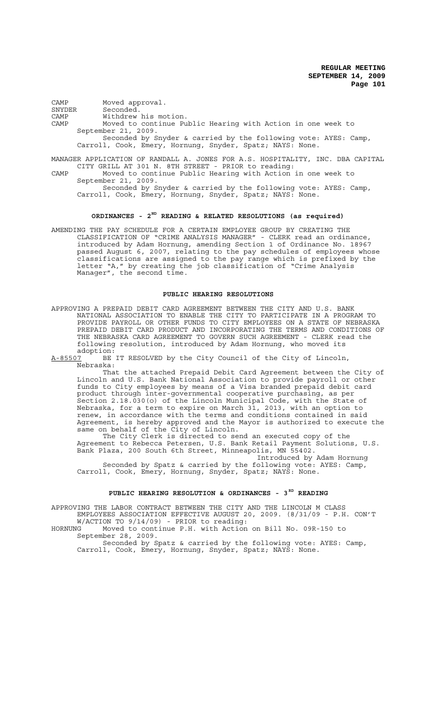CAMP Moved approval.<br>SNYDER Seconded. SNYDER Seconded.<br>
CAMP Withdrew Withdrew his motion. CAMP Moved to continue Public Hearing with Action in one week to September 21, 2009. Seconded by Snyder & carried by the following vote: AYES: Camp, Carroll, Cook, Emery, Hornung, Snyder, Spatz; NAYS: None. MANAGER APPLICATION OF RANDALL A. JONES FOR A.S. HOSPITALITY, INC. DBA CAPITAL CITY GRILL AT 301 N. 8TH STREET - PRIOR to reading: CAMP Moved to continue Public Hearing with Action in one week to

September 21, 2009. Seconded by Snyder & carried by the following vote: AYES: Camp, Carroll, Cook, Emery, Hornung, Snyder, Spatz; NAYS: None.

## **ORDINANCES - 2ND READING & RELATED RESOLUTIONS (as required)**

AMENDING THE PAY SCHEDULE FOR A CERTAIN EMPLOYEE GROUP BY CREATING THE CLASSIFICATION OF "CRIME ANALYSIS MANAGER" - CLERK read an ordinance, introduced by Adam Hornung, amending Section 1 of Ordinance No. 18967 passed August 6, 2007, relating to the pay schedules of employees whose classifications are assigned to the pay range which is prefixed by the letter "A," by creating the job classification of "Crime Analysis Manager", the second time.

### **PUBLIC HEARING RESOLUTIONS**

APPROVING A PREPAID DEBIT CARD AGREEMENT BETWEEN THE CITY AND U.S. BANK NATIONAL ASSOCIATION TO ENABLE THE CITY TO PARTICIPATE IN A PROGRAM TO PROVIDE PAYROLL OR OTHER FUNDS TO CITY EMPLOYEES ON A STATE OF NEBRASKA PREPAID DEBIT CARD PRODUCT AND INCORPORATING THE TERMS AND CONDITIONS OF THE NEBRASKA CARD AGREEMENT TO GOVERN SUCH AGREEMENT - CLERK read the following resolution, introduced by Adam Hornung, who moved its adoption:

A-85507 BE IT RESOLVED by the City Council of the City of Lincoln, Nebraska:

That the attached Prepaid Debit Card Agreement between the City of Lincoln and U.S. Bank National Association to provide payroll or other funds to City employees by means of a Visa branded prepaid debit card product through inter-governmental cooperative purchasing, as per Section 2.18.030(o) of the Lincoln Municipal Code, with the State of Nebraska, for a term to expire on March 31, 2013, with an option to renew, in accordance with the terms and conditions contained in said Agreement, is hereby approved and the Mayor is authorized to execute the same on behalf of the City of Lincoln.

The City Clerk is directed to send an executed copy of the Agreement to Rebecca Petersen, U.S. Bank Retail Payment Solutions, U.S. Bank Plaza, 200 South 6th Street, Minneapolis, MN 55402.

Introduced by Adam Hornung Seconded by Spatz & carried by the following vote: AYES: Camp, Carroll, Cook, Emery, Hornung, Snyder, Spatz; NAYS: None.

# PUBLIC HEARING RESOLUTION & ORDINANCES - 3<sup>RD</sup> READING

APPROVING THE LABOR CONTRACT BETWEEN THE CITY AND THE LINCOLN M CLASS EMPLOYEES ASSOCIATION EFFECTIVE AUGUST 20, 2009. (8/31/09 - P.H. CON'T

W/ACTION TO 9/14/09) - PRIOR to reading: HORNUNG Moved to continue P.H. with Action on Bill No. 09R-150 to September 28, 2009.

Seconded by Spatz & carried by the following vote: AYES: Camp, Carroll, Cook, Emery, Hornung, Snyder, Spatz; NAYS: None.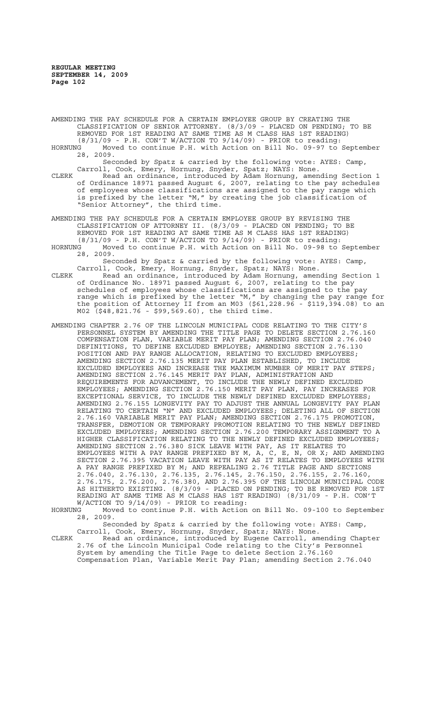AMENDING THE PAY SCHEDULE FOR A CERTAIN EMPLOYEE GROUP BY CREATING THE CLASSIFICATION OF SENIOR ATTORNEY. (8/3/09 - PLACED ON PENDING; TO BE REMOVED FOR 1ST READING AT SAME TIME AS M CLASS HAS 1ST READING) (8/31/09 - P.H. CON'T W/ACTION TO 9/14/09) - PRIOR to reading:

HORNUNG Moved to continue P.H. with Action on Bill No. 09-97 to September 28, 2009.

Seconded by Spatz & carried by the following vote: AYES: Camp, Carroll, Cook, Emery, Hornung, Snyder, Spatz; NAYS: None.

CLERK Read an ordinance, introduced by Adam Hornung, amending Section 1 of Ordinance 18971 passed August 6, 2007, relating to the pay schedules of employees whose classifications are assigned to the pay range which is prefixed by the letter "M," by creating the job classification of "Senior Attorney", the third time.

AMENDING THE PAY SCHEDULE FOR A CERTAIN EMPLOYEE GROUP BY REVISING THE CLASSIFICATION OF ATTORNEY II. (8/3/09 - PLACED ON PENDING; TO BE REMOVED FOR 1ST READING AT SAME TIME AS M CLASS HAS 1ST READING)  $(8/31/09$  - P.H. CON'T W/ACTION TO  $9/14/09$ ) - PRIOR to reading:

HORNUNG Moved to continue P.H. with Action on Bill No. 09-98 to September 28, 2009.

Seconded by Spatz & carried by the following vote: AYES: Camp, Carroll, Cook, Emery, Hornung, Snyder, Spatz; NAYS: None.

CLERK Read an ordinance, introduced by Adam Hornung, amending Section 1 of Ordinance No. 18971 passed August 6, 2007, relating to the pay schedules of employees whose classifications are assigned to the pay range which is prefixed by the letter "M," by changing the pay range for the position of Attorney II from an M03 (\$61,228.96 - \$119,394.08) to an M02 (\$48,821.76 - \$99,569.60), the third time.

AMENDING CHAPTER 2.76 OF THE LINCOLN MUNICIPAL CODE RELATING TO THE CITY'S PERSONNEL SYSTEM BY AMENDING THE TITLE PAGE TO DELETE SECTION 2.76.160 COMPENSATION PLAN, VARIABLE MERIT PAY PLAN; AMENDING SECTION 2.76.040 DEFINITIONS, TO DEFINE EXCLUDED EMPLOYEE; AMENDING SECTION 2.76.130 POSITION AND PAY RANGE ALLOCATION, RELATING TO EXCLUDED EMPLOYEES; AMENDING SECTION 2.76.135 MERIT PAY PLAN ESTABLISHED, TO INCLUDE EXCLUDED EMPLOYEES AND INCREASE THE MAXIMUM NUMBER OF MERIT PAY STEPS; AMENDING SECTION 2.76.145 MERIT PAY PLAN, ADMINISTRATION AND REQUIREMENTS FOR ADVANCEMENT, TO INCLUDE THE NEWLY DEFINED EXCLUDED EMPLOYEES; AMENDING SECTION 2.76.150 MERIT PAY PLAN, PAY INCREASES FOR EXCEPTIONAL SERVICE, TO INCLUDE THE NEWLY DEFINED EXCLUDED EMPLOYEES; AMENDING 2.76.155 LONGEVITY PAY TO ADJUST THE ANNUAL LONGEVITY PAY PLAN RELATING TO CERTAIN "N" AND EXCLUDED EMPLOYEES; DELETING ALL OF SECTION 2.76.160 VARIABLE MERIT PAY PLAN; AMENDING SECTION 2.76.175 PROMOTION, TRANSFER, DEMOTION OR TEMPORARY PROMOTION RELATING TO THE NEWLY DEFINED EXCLUDED EMPLOYEES; AMENDING SECTION 2.76.200 TEMPORARY ASSIGNMENT TO A HIGHER CLASSIFICATION RELATING TO THE NEWLY DEFINED EXCLUDED EMPLOYEES; AMENDING SECTION 2.76.380 SICK LEAVE WITH PAY, AS IT RELATES TO EMPLOYEES WITH A PAY RANGE PREFIXED BY M, A, C, E, N, OR X; AND AMENDING SECTION 2.76.395 VACATION LEAVE WITH PAY AS IT RELATES TO EMPLOYEES WITH A PAY RANGE PREFIXED BY M; AND REPEALING 2.76 TITLE PAGE AND SECTIONS 2.76.040, 2.76.130, 2.76.135, 2.76.145, 2.76.150, 2.76.155, 2.76.160, 2.76.175, 2.76.200, 2.76.380, AND 2.76.395 OF THE LINCOLN MUNICIPAL CODE AS HITHERTO EXISTING. (8/3/09 - PLACED ON PENDING; TO BE REMOVED FOR 1ST READING AT SAME TIME AS M CLASS HAS 1ST READING) (8/31/09 - P.H. CON'T W/ACTION TO  $9/14/09$ ) - PRIOR to reading:<br>HORNUNG Moved to continue P.H. with Action

Moved to continue P.H. with Action on Bill No. 09-100 to September 28, 2009.

Seconded by Spatz & carried by the following vote: AYES: Camp, Carroll, Cook, Emery, Hornung, Snyder, Spatz; NAYS: None.

CLERK Read an ordinance, introduced by Eugene Carroll, amending Chapter 2.76 of the Lincoln Municipal Code relating to the City's Personnel System by amending the Title Page to delete Section 2.76.160 Compensation Plan, Variable Merit Pay Plan; amending Section 2.76.040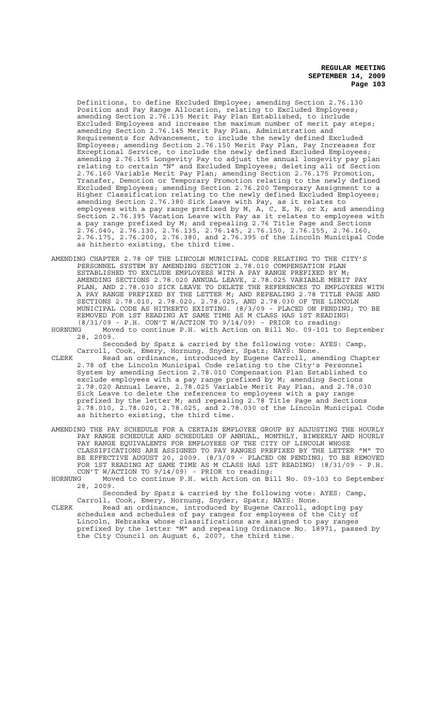Definitions, to define Excluded Employee; amending Section 2.76.130 Position and Pay Range Allocation, relating to Excluded Employees; amending Section 2.76.135 Merit Pay Plan Established, to include Excluded Employees and increase the maximum number of merit pay steps; amending Section 2.76.145 Merit Pay Plan, Administration and Requirements for Advancement, to include the newly defined Excluded Employees; amending Section 2.76.150 Merit Pay Plan, Pay Increases for Exceptional Service, to include the newly defined Excluded Employees; amending 2.76.155 Longevity Pay to adjust the annual longevity pay plan relating to certain "N" and Excluded Employees; deleting all of Section 2.76.160 Variable Merit Pay Plan; amending Section 2.76.175 Promotion, Transfer, Demotion or Temporary Promotion relating to the newly defined Excluded Employees; amending Section 2.76.200 Temporary Assignment to a Higher Classification relating to the newly defined Excluded Employees; amending Section 2.76.380 Sick Leave with Pay, as it relates to employees with a pay range prefixed by M, A, C, E, N, or X; and amending Section 2.76.395 Vacation Leave with Pay as it relates to employees with a pay range prefixed by M; and repealing 2.76 Title Page and Sections 2.76.040, 2.76.130, 2.76.135, 2.76.145, 2.76.150, 2.76.155, 2.76.160, 2.76.175, 2.76.200, 2.76.380, and 2.76.395 of the Lincoln Municipal Code as hitherto existing, the third time.

- AMENDING CHAPTER 2.78 OF THE LINCOLN MUNICIPAL CODE RELATING TO THE CITY'S PERSONNEL SYSTEM BY AMENDING SECTION 2.78.010 COMPENSATION PLAN ESTABLISHED TO EXCLUDE EMPLOYEES WITH A PAY RANGE PREFIXED BY M; AMENDING SECTIONS 2.78.020 ANNUAL LEAVE, 2.78.025 VARIABLE MERIT PAY PLAN, AND 2.78.030 SICK LEAVE TO DELETE THE REFERENCES TO EMPLOYEES WITH A PAY RANGE PREFIXED BY THE LETTER M; AND REPEALING 2.78 TITLE PAGE AND SECTIONS 2.78.010, 2.78.020, 2.78.025, AND 2.78.030 OF THE LINCOLN MUNICIPAL CODE AS HITHERTO EXISTING. (8/3/09 - PLACED ON PENDING; TO BE REMOVED FOR 1ST READING AT SAME TIME AS M CLASS HAS 1ST READING) (8/31/09 - P.H. CON'T W/ACTION TO 9/14/09) - PRIOR to reading:
- HORNUNG Moved to continue P.H. with Action on Bill No. 09-101 to September 28, 2009.

Seconded by Spatz & carried by the following vote: AYES: Camp, Carroll, Cook, Emery, Hornung, Snyder, Spatz; NAYS: None.

- CLERK Read an ordinance, introduced by Eugene Carroll, amending Chapter 2.78 of the Lincoln Municipal Code relating to the City's Personnel System by amending Section 2.78.010 Compensation Plan Established to exclude employees with a pay range prefixed by M; amending Sections 2.78.020 Annual Leave, 2.78.025 Variable Merit Pay Plan, and 2.78.030 Sick Leave to delete the references to employees with a pay range prefixed by the letter M; and repealing 2.78 Title Page and Sections 2.78.010, 2.78.020, 2.78.025, and 2.78.030 of the Lincoln Municipal Code as hitherto existing, the third time.
- AMENDING THE PAY SCHEDULE FOR A CERTAIN EMPLOYEE GROUP BY ADJUSTING THE HOURLY PAY RANGE SCHEDULE AND SCHEDULES OF ANNUAL, MONTHLY, BIWEEKLY AND HOURLY PAY RANGE EQUIVALENTS FOR EMPLOYEES OF THE CITY OF LINCOLN WHOSE CLASSIFICATIONS ARE ASSIGNED TO PAY RANGES PREFIXED BY THE LETTER "M" TO BE EFFECTIVE AUGUST 20, 2009. (8/3/09 - PLACED ON PENDING; TO BE REMOVED FOR 1ST READING AT SAME TIME AS M CLASS HAS 1ST READING) (8/31/09 - P.H. CON'T W/ACTION TO 9/14/09) - PRIOR to reading:
- HORNUNG Moved to continue P.H. with Action on Bill No. 09-103 to September 28, 2009.

Seconded by Spatz & carried by the following vote: AYES: Camp, Carroll, Cook, Emery, Hornung, Snyder, Spatz; NAYS: None.

CLERK Read an ordinance, introduced by Eugene Carroll, adopting pay schedules and schedules of pay ranges for employees of the City of Lincoln, Nebraska whose classifications are assigned to pay ranges prefixed by the letter "M" and repealing Ordinance No. 18971, passed by the City Council on August 6, 2007, the third time.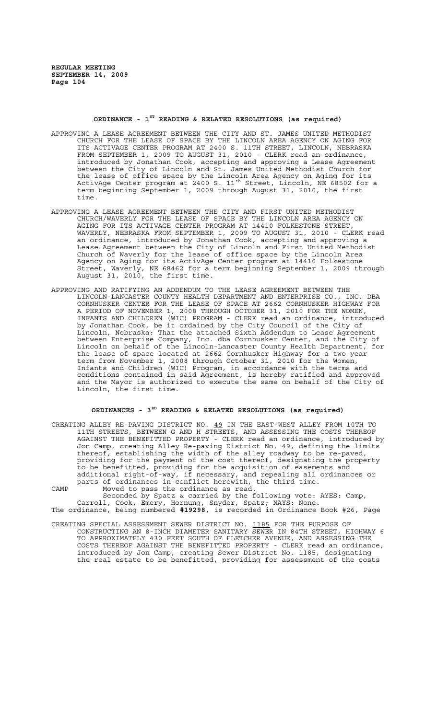# **ORDINANCE - 1ST READING & RELATED RESOLUTIONS (as required)**

- APPROVING A LEASE AGREEMENT BETWEEN THE CITY AND ST. JAMES UNITED METHODIST CHURCH FOR THE LEASE OF SPACE BY THE LINCOLN AREA AGENCY ON AGING FOR ITS ACTIVAGE CENTER PROGRAM AT 2400 S. 11TH STREET, LINCOLN, NEBRASKA FROM SEPTEMBER 1, 2009 TO AUGUST 31, 2010 - CLERK read an ordinance, introduced by Jonathan Cook, accepting and approving a Lease Agreement between the City of Lincoln and St. James United Methodist Church for the lease of office space by the Lincoln Area Agency on Aging for its ActivAge Center program at 2400 S.  $11^{\text{th}}$  Street, Lincoln, NE 68502 for a term beginning September 1, 2009 through August 31, 2010, the first time.
- APPROVING A LEASE AGREEMENT BETWEEN THE CITY AND FIRST UNITED METHODIST CHURCH/WAVERLY FOR THE LEASE OF SPACE BY THE LINCOLN AREA AGENCY ON AGING FOR ITS ACTIVAGE CENTER PROGRAM AT 14410 FOLKESTONE STREET, WAVERLY, NEBRASKA FROM SEPTEMBER 1, 2009 TO AUGUST 31, 2010 - CLERK read an ordinance, introduced by Jonathan Cook, accepting and approving a Lease Agreement between the City of Lincoln and First United Methodist Church of Waverly for the lease of office space by the Lincoln Area Agency on Aging for its ActivAge Center program at 14410 Folkestone Street, Waverly, NE 68462 for a term beginning September 1, 2009 through August 31, 2010, the first time.
- APPROVING AND RATIFYING AN ADDENDUM TO THE LEASE AGREEMENT BETWEEN THE LINCOLN-LANCASTER COUNTY HEALTH DEPARTMENT AND ENTERPRISE CO., INC. LINCOLN-LANCASTER COUNTY HEALTH DEPARTMENT AND ENTERPRISE CO., INC. DBA CORNHUSKER CENTER FOR THE LEASE OF SPACE AT 2662 CORNHUSKER HIGHWAY FOR A PERIOD OF NOVEMBER 1, 2008 THROUGH OCTOBER 31, 2010 FOR THE WOMEN, INFANTS AND CHILDREN (WIC) PROGRAM - CLERK read an ordinance, introduced by Jonathan Cook, be it ordained by the City Council of the City of Lincoln, Nebraska: That the attached Sixth Addendum to Lease Agreement between Enterprise Company, Inc. dba Cornhusker Center, and the City of Lincoln on behalf of the Lincoln-Lancaster County Health Department, for the lease of space located at 2662 Cornhusker Highway for a two-year term from November 1, 2008 through October 31, 2010 for the Women, Infants and Children (WIC) Program, in accordance with the terms and conditions contained in said Agreement, is hereby ratified and approved and the Mayor is authorized to execute the same on behalf of the City of Lincoln, the first time.

## **ORDINANCES - 3RD READING & RELATED RESOLUTIONS (as required)**

- CREATING ALLEY RE-PAVING DISTRICT NO. 49 IN THE EAST-WEST ALLEY FROM 10TH TO 11TH STREETS, BETWEEN G AND H STREETS, AND ASSESSING THE COSTS THEREOF AGAINST THE BENEFITTED PROPERTY - CLERK read an ordinance, introduced by Jon Camp, creating Alley Re-paving District No. 49, defining the limits thereof, establishing the width of the alley roadway to be re-paved, providing for the payment of the cost thereof, designating the property to be benefitted, providing for the acquisition of easements and additional right-of-way, if necessary, and repealing all ordinances or parts of ordinances in conflict herewith, the third time. CAMP Moved to pass the ordinance as read.
- Seconded by Spatz & carried by the following vote: AYES: Camp, Carroll, Cook, Emery, Hornung, Snyder, Spatz; NAYS: None. The ordinance, being numbered **#19298**, is recorded in Ordinance Book #26, Page
- CREATING SPECIAL ASSESSMENT SEWER DISTRICT NO. 1185 FOR THE PURPOSE OF CONSTRUCTING AN 8-INCH DIAMETER SANITARY SEWER IN 84TH STREET, HIGHWAY 6 TO APPROXIMATELY 430 FEET SOUTH OF FLETCHER AVENUE, AND ASSESSING THE COSTS THEREOF AGAINST THE BENEFITTED PROPERTY - CLERK read an ordinance, introduced by Jon Camp, creating Sewer District No. 1185, designating the real estate to be benefitted, providing for assessment of the costs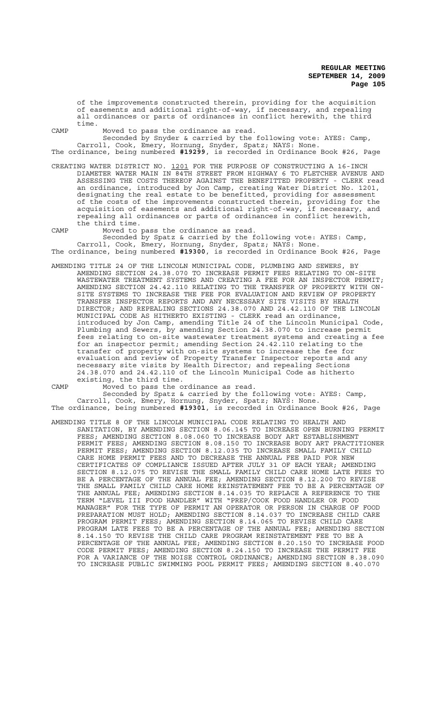of the improvements constructed therein, providing for the acquisition of easements and additional right-of-way, if necessary, and repealing all ordinances or parts of ordinances in conflict herewith, the third time.

CAMP Moved to pass the ordinance as read.

Seconded by Snyder & carried by the following vote: AYES: Camp, Carroll, Cook, Emery, Hornung, Snyder, Spatz; NAYS: None.

The ordinance, being numbered **#19299**, is recorded in Ordinance Book #26, Page

- CREATING WATER DISTRICT NO. 1201 FOR THE PURPOSE OF CONSTRUCTING A 16-INCH DIAMETER WATER MAIN IN 84TH STREET FROM HIGHWAY 6 TO FLETCHER AVENUE AND ASSESSING THE COSTS THEREOF AGAINST THE BENEFITTED PROPERTY - CLERK read an ordinance, introduced by Jon Camp, creating Water District No. 1201, designating the real estate to be benefitted, providing for assessment of the costs of the improvements constructed therein, providing for the acquisition of easements and additional right-of-way, if necessary, and repealing all ordinances or parts of ordinances in conflict herewith, the third time.
- CAMP Moved to pass the ordinance as read.

Seconded by Spatz & carried by the following vote: AYES: Camp, Carroll, Cook, Emery, Hornung, Snyder, Spatz; NAYS: None. The ordinance, being numbered **#19300**, is recorded in Ordinance Book #26, Page

- AMENDING TITLE 24 OF THE LINCOLN MUNICIPAL CODE, PLUMBING AND SEWERS, BY AMENDING SECTION 24.38.070 TO INCREASE PERMIT FEES RELATING TO ON-SITE WASTEWATER TREATMENT SYSTEMS AND CREATING A FEE FOR AN INSPECTOR PERMIT; AMENDING SECTION 24.42.110 RELATING TO THE TRANSFER OF PROPERTY WITH ON-SITE SYSTEMS TO INCREASE THE FEE FOR EVALUATION AND REVIEW OF PROPERTY TRANSFER INSPECTOR REPORTS AND ANY NECESSARY SITE VISITS BY HEALTH DIRECTOR; AND REPEALING SECTIONS 24.38.070 AND 24.42.110 OF THE LINCOLN MUNICIPAL CODE AS HITHERTO EXISTING - CLERK read an ordinance, introduced by Jon Camp, amending Title 24 of the Lincoln Municipal Code, Plumbing and Sewers, by amending Section 24.38.070 to increase permit fees relating to on-site wastewater treatment systems and creating a fee for an inspector permit; amending Section 24.42.110 relating to the transfer of property with on-site systems to increase the fee for evaluation and review of Property Transfer Inspector reports and any necessary site visits by Health Director; and repealing Sections 24.38.070 and 24.42.110 of the Lincoln Municipal Code as hitherto existing, the third time.
- 

CAMP Moved to pass the ordinance as read.

Seconded by Spatz & carried by the following vote: AYES: Camp, Carroll, Cook, Emery, Hornung, Snyder, Spatz; NAYS: None. The ordinance, being numbered **#19301**, is recorded in Ordinance Book #26, Page

AMENDING TITLE 8 OF THE LINCOLN MUNICIPAL CODE RELATING TO HEALTH AND SANITATION, BY AMENDING SECTION 8.06.145 TO INCREASE OPEN BURNING PERMIT FEES; AMENDING SECTION 8.08.060 TO INCREASE BODY ART ESTABLISHMENT PERMIT FEES; AMENDING SECTION 8.08.150 TO INCREASE BODY ART PRACTITIONER PERMIT FEES; AMENDING SECTION 8.12.035 TO INCREASE SMALL FAMILY CHILD CARE HOME PERMIT FEES AND TO DECREASE THE ANNUAL FEE PAID FOR NEW CERTIFICATES OF COMPLIANCE ISSUED AFTER JULY 31 OF EACH YEAR; AMENDING SECTION 8.12.075 TO REVISE THE SMALL FAMILY CHILD CARE HOME LATE FEES TO BE A PERCENTAGE OF THE ANNUAL FEE; AMENDING SECTION 8.12.200 TO REVISE THE SMALL FAMILY CHILD CARE HOME REINSTATEMENT FEE TO BE A PERCENTAGE OF THE ANNUAL FEE; AMENDING SECTION 8.14.035 TO REPLACE A REFERENCE TO THE TERM "LEVEL III FOOD HANDLER" WITH "PREP/COOK FOOD HANDLER OR FOOD MANAGER" FOR THE TYPE OF PERMIT AN OPERATOR OR PERSON IN CHARGE OF FOOD PREPARATION MUST HOLD; AMENDING SECTION 8.14.037 TO INCREASE CHILD CARE PROGRAM PERMIT FEES; AMENDING SECTION 8.14.065 TO REVISE CHILD CARE PROGRAM LATE FEES TO BE A PERCENTAGE OF THE ANNUAL FEE; AMENDING SECTION 8.14.150 TO REVISE THE CHILD CARE PROGRAM REINSTATEMENT FEE TO BE A PERCENTAGE OF THE ANNUAL FEE; AMENDING SECTION 8.20.150 TO INCREASE FOOD CODE PERMIT FEES; AMENDING SECTION 8.24.150 TO INCREASE THE PERMIT FEE FOR A VARIANCE OF THE NOISE CONTROL ORDINANCE; AMENDING SECTION 8.38.090 TO INCREASE PUBLIC SWIMMING POOL PERMIT FEES; AMENDING SECTION 8.40.070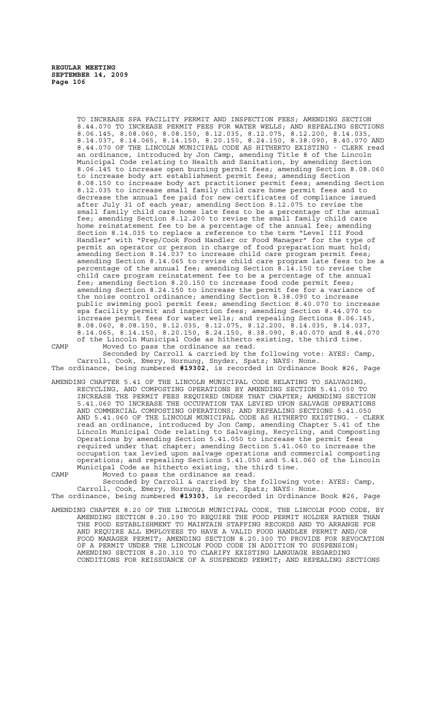TO INCREASE SPA FACILITY PERMIT AND INSPECTION FEES; AMENDING SECTION 8.44.070 TO INCREASE PERMIT FEES FOR WATER WELLS; AND REPEALING SECTIONS 8.06.145, 8.08.060, 8.08.150, 8.12.035, 8.12.075, 8.12.200, 8.14.035, 8.14.037, 8.14.065, 8.14.150, 8.20.150, 8.24.150, 8.38.090, 8.40.070 AND 8.44.070 OF THE LINCOLN MUNICIPAL CODE AS HITHERTO EXISTING - CLERK read an ordinance, introduced by Jon Camp, amending Title 8 of the Lincoln Municipal Code relating to Health and Sanitation, by amending Section 8.06.145 to increase open burning permit fees; amending Section 8.08.060 to increase body art establishment permit fees; amending Section 8.08.150 to increase body art practitioner permit fees; amending Section 8.12.035 to increase small family child care home permit fees and to decrease the annual fee paid for new certificates of compliance issued after July 31 of each year; amending Section 8.12.075 to revise the small family child care home late fees to be a percentage of the annual fee; amending Section 8.12.200 to revise the small family child care home reinstatement fee to be a percentage of the annual fee; amending Section 8.14.035 to replace a reference to the term "Level III Food Handler" with "Prep/Cook Food Handler or Food Manager" for the type of permit an operator or person in charge of food preparation must hold; amending Section 8.14.037 to increase child care program permit fees; amending Section 8.14.065 to revise child care program late fees to be a percentage of the annual fee; amending Section 8.14.150 to revise the child care program reinstatement fee to be a percentage of the annual fee; amending Section 8.20.150 to increase food code permit fees; amending Section 8.24.150 to increase the permit fee for a variance of the noise control ordinance; amending Section 8.38.090 to increase public swimming pool permit fees; amending Section 8.40.070 to increase spa facility permit and inspection fees; amending Section 8.44.070 to increase permit fees for water wells; and repealing Sections 8.06.145, 8.08.060, 8.08.150, 8.12.035, 8.12.075, 8.12.200, 8.14.035, 8.14.037, 8.14.065, 8.14.150, 8.20.150, 8.24.150, 8.38.090, 8.40.070 and 8.44.070 of the Lincoln Municipal Code as hitherto existing, the third time. CAMP Moved to pass the ordinance as read.

Seconded by Carroll & carried by the following vote: AYES: Camp, Carroll, Cook, Emery, Hornung, Snyder, Spatz; NAYS: None. The ordinance, being numbered **#19302**, is recorded in Ordinance Book #26, Page

AMENDING CHAPTER 5.41 OF THE LINCOLN MUNICIPAL CODE RELATING TO SALVAGING, RECYCLING, AND COMPOSTING OPERATIONS BY AMENDING SECTION 5.41.050 TO INCREASE THE PERMIT FEES REQUIRED UNDER THAT CHAPTER; AMENDING SECTION 5.41.060 TO INCREASE THE OCCUPATION TAX LEVIED UPON SALVAGE OPERATIONS AND COMMERCIAL COMPOSTING OPERATIONS; AND REPEALING SECTIONS 5.41.050 AND 5.41.060 OF THE LINCOLN MUNICIPAL CODE AS HITHERTO EXISTING. - CLERK read an ordinance, introduced by Jon Camp, amending Chapter 5.41 of the Lincoln Municipal Code relating to Salvaging, Recycling, and Composting Operations by amending Section 5.41.050 to increase the permit fees required under that chapter; amending Section 5.41.060 to increase the occupation tax levied upon salvage operations and commercial composting operations; and repealing Sections 5.41.050 and 5.41.060 of the Lincoln Municipal Code as hitherto existing, the third time.

CAMP Moved to pass the ordinance as read. Seconded by Carroll & carried by the following vote: AYES: Camp, Carroll, Cook, Emery, Hornung, Snyder, Spatz; NAYS: None.

The ordinance, being numbered **#19303**, is recorded in Ordinance Book #26, Page

AMENDING CHAPTER 8.20 OF THE LINCOLN MUNICIPAL CODE, THE LINCOLN FOOD CODE, BY AMENDING SECTION 8.20.190 TO REQUIRE THE FOOD PERMIT HOLDER RATHER THAN THE FOOD ESTABLISHMENT TO MAINTAIN STAFFING RECORDS AND TO ARRANGE FOR AND REQUIRE ALL EMPLOYEES TO HAVE A VALID FOOD HANDLER PERMIT AND/OR FOOD MANAGER PERMIT; AMENDING SECTION 8.20.300 TO PROVIDE FOR REVOCATION OF A PERMIT UNDER THE LINCOLN FOOD CODE IN ADDITION TO SUSPENSION; AMENDING SECTION 8.20.310 TO CLARIFY EXISTING LANGUAGE REGARDING CONDITIONS FOR REISSUANCE OF A SUSPENDED PERMIT; AND REPEALING SECTIONS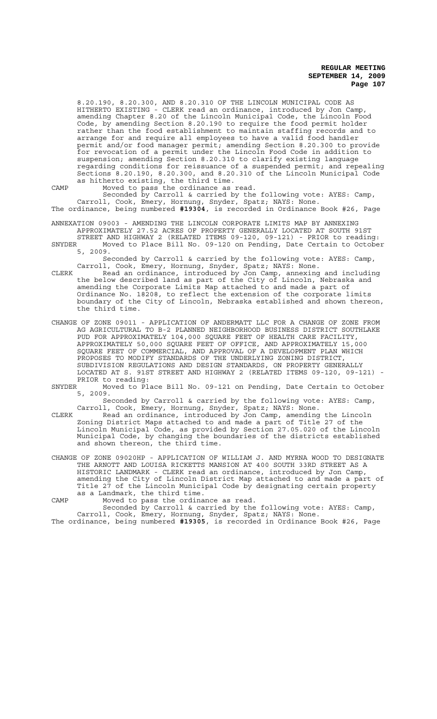8.20.190, 8.20.300, AND 8.20.310 OF THE LINCOLN MUNICIPAL CODE AS HITHERTO EXISTING - CLERK read an ordinance, introduced by Jon Camp, amending Chapter 8.20 of the Lincoln Municipal Code, the Lincoln Food Code, by amending Section 8.20.190 to require the food permit holder rather than the food establishment to maintain staffing records and to arrange for and require all employees to have a valid food handler permit and/or food manager permit; amending Section 8.20.300 to provide for revocation of a permit under the Lincoln Food Code in addition to suspension; amending Section 8.20.310 to clarify existing language regarding conditions for reissuance of a suspended permit; and repealing Sections 8.20.190, 8.20.300, and 8.20.310 of the Lincoln Municipal Code as hitherto existing, the third time.

CAMP Moved to pass the ordinance as read.

Seconded by Carroll & carried by the following vote: AYES: Camp, Carroll, Cook, Emery, Hornung, Snyder, Spatz; NAYS: None. The ordinance, being numbered **#19304**, is recorded in Ordinance Book #26, Page

ANNEXATION 09003 - AMENDING THE LINCOLN CORPORATE LIMITS MAP BY ANNEXING APPROXIMATELY 27.52 ACRES OF PROPERTY GENERALLY LOCATED AT SOUTH 91ST STREET AND HIGHWAY 2 (RELATED ITEMS 09-120, 09-121) - PRIOR to reading:

SNYDER Moved to Place Bill No. 09-120 on Pending, Date Certain to October 5, 2009.

Seconded by Carroll & carried by the following vote: AYES: Camp, Carroll, Cook, Emery, Hornung, Snyder, Spatz; NAYS: None.

CLERK Read an ordinance, introduced by Jon Camp, annexing and including the below described land as part of the City of Lincoln, Nebraska and amending the Corporate Limits Map attached to and made a part of Ordinance No. 18208, to reflect the extension of the corporate limits boundary of the City of Lincoln, Nebraska established and shown thereon, the third time.

CHANGE OF ZONE 09011 - APPLICATION OF ANDERMATT LLC FOR A CHANGE OF ZONE FROM AG AGRICULTURAL TO B-2 PLANNED NEIGHBORHOOD BUSINESS DISTRICT SOUTHLAKE PUD FOR APPROXIMATELY 104,000 SQUARE FEET OF HEALTH CARE FACILITY, APPROXIMATELY 50,000 SQUARE FEET OF OFFICE, AND APPROXIMATELY 15,000 SQUARE FEET OF COMMERCIAL, AND APPROVAL OF A DEVELOPMENT PLAN WHICH PROPOSES TO MODIFY STANDARDS OF THE UNDERLYING ZONING DISTRICT, SUBDIVISION REGULATIONS AND DESIGN STANDARDS, ON PROPERTY GENERALLY LOCATED AT S. 91ST STREET AND HIGHWAY 2 (RELATED ITEMS 09-120, 09-121) - PRIOR to reading:

SNYDER Moved to Place Bill No. 09-121 on Pending, Date Certain to October 5, 2009.

Seconded by Carroll & carried by the following vote: AYES: Camp, Carroll, Cook, Emery, Hornung, Snyder, Spatz; NAYS: None.

CLERK Read an ordinance, introduced by Jon Camp, amending the Lincoln Zoning District Maps attached to and made a part of Title 27 of the Lincoln Municipal Code, as provided by Section 27.05.020 of the Lincoln Municipal Code, by changing the boundaries of the districts established and shown thereon, the third time.

CHANGE OF ZONE 09020HP - APPLICATION OF WILLIAM J. AND MYRNA WOOD TO DESIGNATE THE ARNOTT AND LOUISA RICKETTS MANSION AT 400 SOUTH 33RD STREET AS A HISTORIC LANDMARK - CLERK read an ordinance, introduced by Jon Camp, amending the City of Lincoln District Map attached to and made a part of Title 27 of the Lincoln Municipal Code by designating certain property as a Landmark, the third time.

CAMP Moved to pass the ordinance as read.

Seconded by Carroll & carried by the following vote: AYES: Camp, Carroll, Cook, Emery, Hornung, Snyder, Spatz; NAYS: None. The ordinance, being numbered **#19305**, is recorded in Ordinance Book #26, Page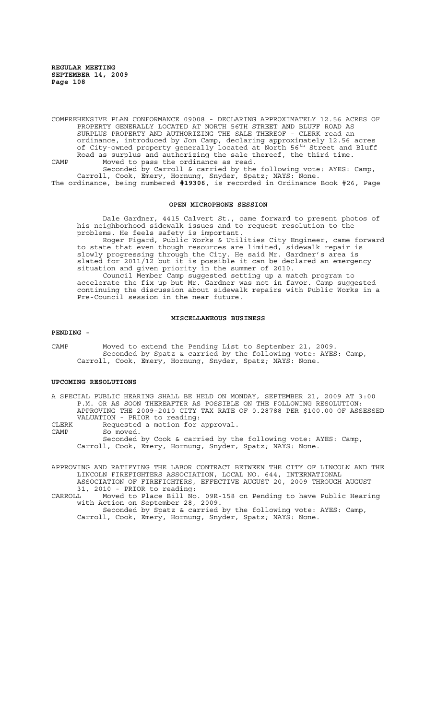COMPREHENSIVE PLAN CONFORMANCE 09008 - DECLARING APPROXIMATELY 12.56 ACRES OF PROPERTY GENERALLY LOCATED AT NORTH 56TH STREET AND BLUFF ROAD AS SURPLUS PROPERTY AND AUTHORIZING THE SALE THEREOF - CLERK read an ordinance, introduced by Jon Camp, declaring approximately 12.56 acres of City-owned property generally located at North 56th Street and Bluff Road as surplus and authorizing the sale thereof, the third time. CAMP Moved to pass the ordinance as read.

Seconded by Carroll & carried by the following vote: AYES: Camp, Carroll, Cook, Emery, Hornung, Snyder, Spatz; NAYS: None. The ordinance, being numbered **#19306**, is recorded in Ordinance Book #26, Page

### **OPEN MICROPHONE SESSION**

Dale Gardner, 4415 Calvert St., came forward to present photos of his neighborhood sidewalk issues and to request resolution to the problems. He feels safety is important.

Roger Figard, Public Works & Utilities City Engineer, came forward to state that even though resources are limited, sidewalk repair is slowly progressing through the City. He said Mr. Gardner's area is slated for 2011/12 but it is possible it can be declared an emergency situation and given priority in the summer of 2010.

Council Member Camp suggested setting up a match program to accelerate the fix up but Mr. Gardner was not in favor. Camp suggested continuing the discussion about sidewalk repairs with Public Works in a Pre-Council session in the near future.

#### **MISCELLANEOUS BUSINESS**

#### **PENDING -**

CAMP Moved to extend the Pending List to September 21, 2009. Seconded by Spatz & carried by the following vote: AYES: Camp, Carroll, Cook, Emery, Hornung, Snyder, Spatz; NAYS: None.

## **UPCOMING RESOLUTIONS**

A SPECIAL PUBLIC HEARING SHALL BE HELD ON MONDAY, SEPTEMBER 21, 2009 AT 3:00 P.M. OR AS SOON THEREAFTER AS POSSIBLE ON THE FOLLOWING RESOLUTION: APPROVING THE 2009-2010 CITY TAX RATE OF 0.28788 PER \$100.00 OF ASSESSED VALUATION - PRIOR to reading:

CLERK Requested a motion for approval.<br>CAMP So moved

So moved.

Seconded by Cook & carried by the following vote: AYES: Camp, Carroll, Cook, Emery, Hornung, Snyder, Spatz; NAYS: None.

APPROVING AND RATIFYING THE LABOR CONTRACT BETWEEN THE CITY OF LINCOLN AND THE LINCOLN FIREFIGHTERS ASSOCIATION, LOCAL NO. 644, INTERNATIONAL ASSOCIATION OF FIREFIGHTERS, EFFECTIVE AUGUST 20, 2009 THROUGH AUGUST

31, 2010 - PRIOR to reading:<br>CARROLL Moved to Place Bill No. CARROLL Moved to Place Bill No. 09R-158 on Pending to have Public Hearing with Action on September 28, 2009.

Seconded by Spatz & carried by the following vote: AYES: Camp, Carroll, Cook, Emery, Hornung, Snyder, Spatz; NAYS: None.